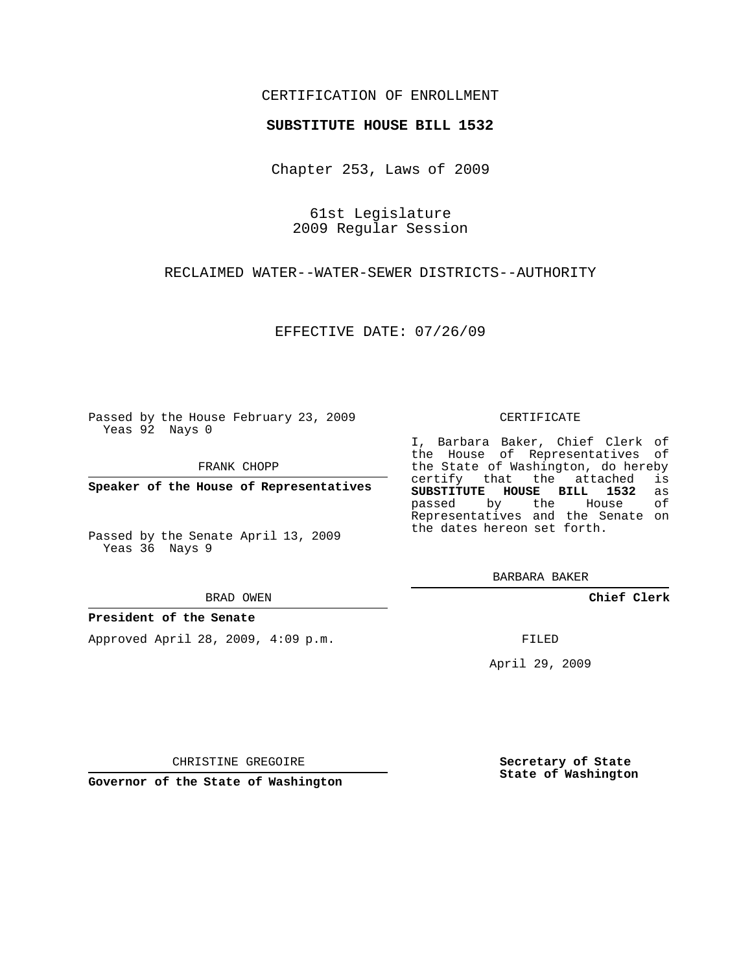## CERTIFICATION OF ENROLLMENT

## **SUBSTITUTE HOUSE BILL 1532**

Chapter 253, Laws of 2009

61st Legislature 2009 Regular Session

RECLAIMED WATER--WATER-SEWER DISTRICTS--AUTHORITY

EFFECTIVE DATE: 07/26/09

Passed by the House February 23, 2009 Yeas 92 Nays 0

FRANK CHOPP

**Speaker of the House of Representatives**

Passed by the Senate April 13, 2009 Yeas 36 Nays 9

#### BRAD OWEN

## **President of the Senate**

Approved April 28, 2009, 4:09 p.m.

#### CERTIFICATE

I, Barbara Baker, Chief Clerk of the House of Representatives of the State of Washington, do hereby<br>certify that the attached is certify that the attached **SUBSTITUTE HOUSE BILL 1532** as passed by the Representatives and the Senate on the dates hereon set forth.

BARBARA BAKER

**Chief Clerk**

FILED

April 29, 2009

CHRISTINE GREGOIRE

**Governor of the State of Washington**

**Secretary of State State of Washington**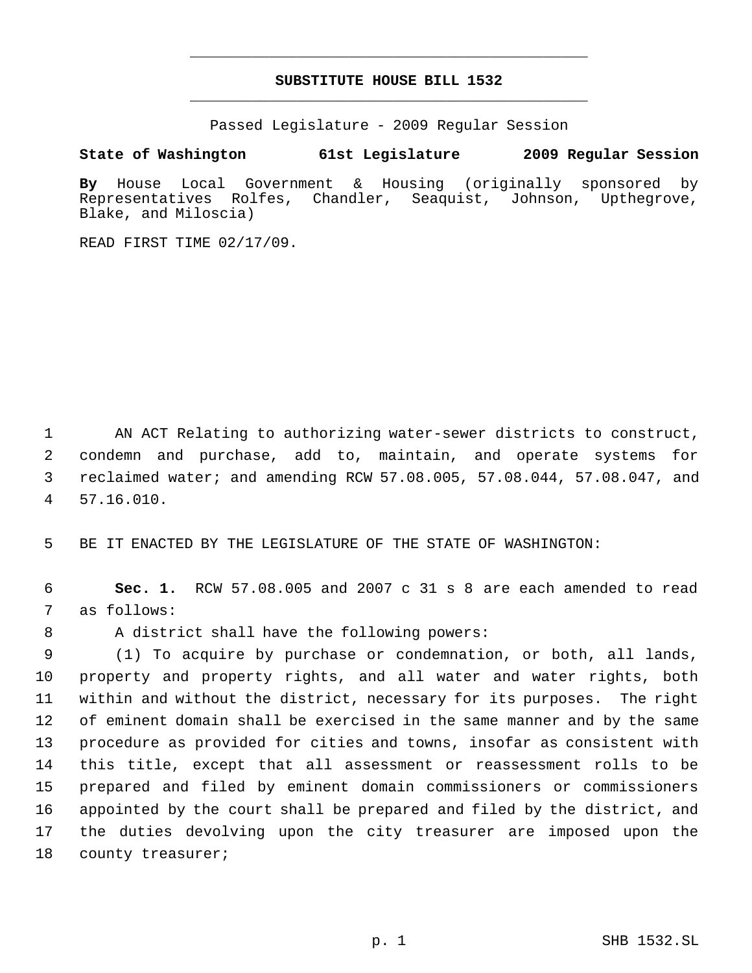# **SUBSTITUTE HOUSE BILL 1532** \_\_\_\_\_\_\_\_\_\_\_\_\_\_\_\_\_\_\_\_\_\_\_\_\_\_\_\_\_\_\_\_\_\_\_\_\_\_\_\_\_\_\_\_\_

\_\_\_\_\_\_\_\_\_\_\_\_\_\_\_\_\_\_\_\_\_\_\_\_\_\_\_\_\_\_\_\_\_\_\_\_\_\_\_\_\_\_\_\_\_

Passed Legislature - 2009 Regular Session

# **State of Washington 61st Legislature 2009 Regular Session**

**By** House Local Government & Housing (originally sponsored by Representatives Rolfes, Chandler, Seaquist, Johnson, Upthegrove, Blake, and Miloscia)

READ FIRST TIME 02/17/09.

 AN ACT Relating to authorizing water-sewer districts to construct, condemn and purchase, add to, maintain, and operate systems for reclaimed water; and amending RCW 57.08.005, 57.08.044, 57.08.047, and 57.16.010.

5 BE IT ENACTED BY THE LEGISLATURE OF THE STATE OF WASHINGTON:

 6 **Sec. 1.** RCW 57.08.005 and 2007 c 31 s 8 are each amended to read 7 as follows:

8 A district shall have the following powers:

 (1) To acquire by purchase or condemnation, or both, all lands, property and property rights, and all water and water rights, both within and without the district, necessary for its purposes. The right of eminent domain shall be exercised in the same manner and by the same procedure as provided for cities and towns, insofar as consistent with this title, except that all assessment or reassessment rolls to be prepared and filed by eminent domain commissioners or commissioners appointed by the court shall be prepared and filed by the district, and the duties devolving upon the city treasurer are imposed upon the 18 county treasurer;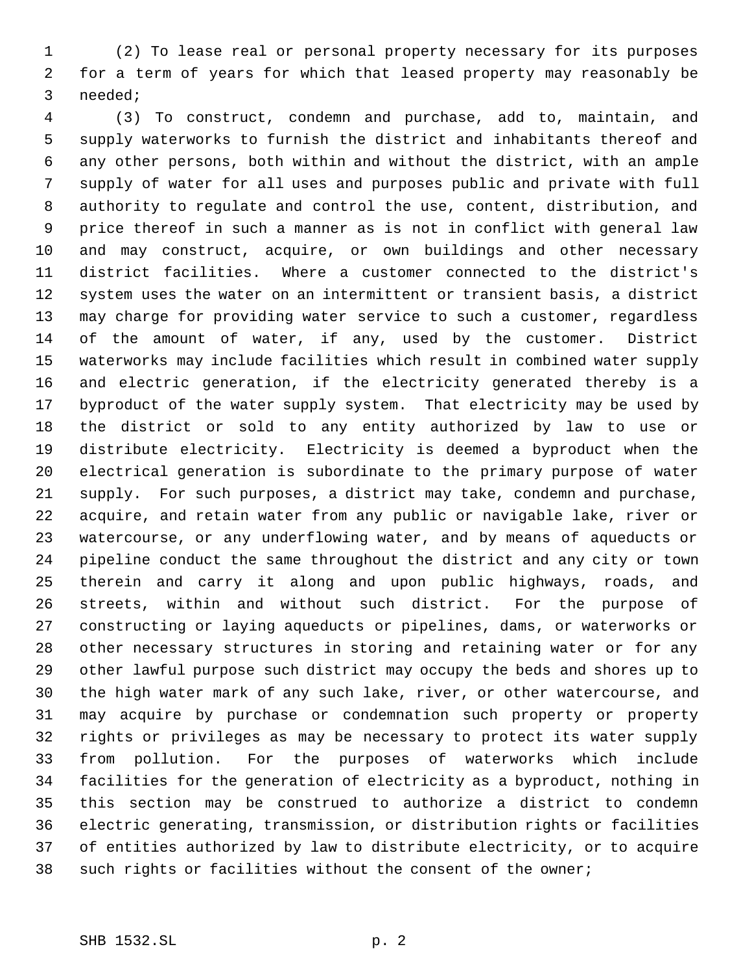(2) To lease real or personal property necessary for its purposes for a term of years for which that leased property may reasonably be needed;

 (3) To construct, condemn and purchase, add to, maintain, and supply waterworks to furnish the district and inhabitants thereof and any other persons, both within and without the district, with an ample supply of water for all uses and purposes public and private with full authority to regulate and control the use, content, distribution, and price thereof in such a manner as is not in conflict with general law and may construct, acquire, or own buildings and other necessary district facilities. Where a customer connected to the district's system uses the water on an intermittent or transient basis, a district may charge for providing water service to such a customer, regardless of the amount of water, if any, used by the customer. District waterworks may include facilities which result in combined water supply and electric generation, if the electricity generated thereby is a byproduct of the water supply system. That electricity may be used by the district or sold to any entity authorized by law to use or distribute electricity. Electricity is deemed a byproduct when the electrical generation is subordinate to the primary purpose of water supply. For such purposes, a district may take, condemn and purchase, acquire, and retain water from any public or navigable lake, river or watercourse, or any underflowing water, and by means of aqueducts or pipeline conduct the same throughout the district and any city or town therein and carry it along and upon public highways, roads, and streets, within and without such district. For the purpose of constructing or laying aqueducts or pipelines, dams, or waterworks or other necessary structures in storing and retaining water or for any other lawful purpose such district may occupy the beds and shores up to the high water mark of any such lake, river, or other watercourse, and may acquire by purchase or condemnation such property or property rights or privileges as may be necessary to protect its water supply from pollution. For the purposes of waterworks which include facilities for the generation of electricity as a byproduct, nothing in this section may be construed to authorize a district to condemn electric generating, transmission, or distribution rights or facilities of entities authorized by law to distribute electricity, or to acquire such rights or facilities without the consent of the owner;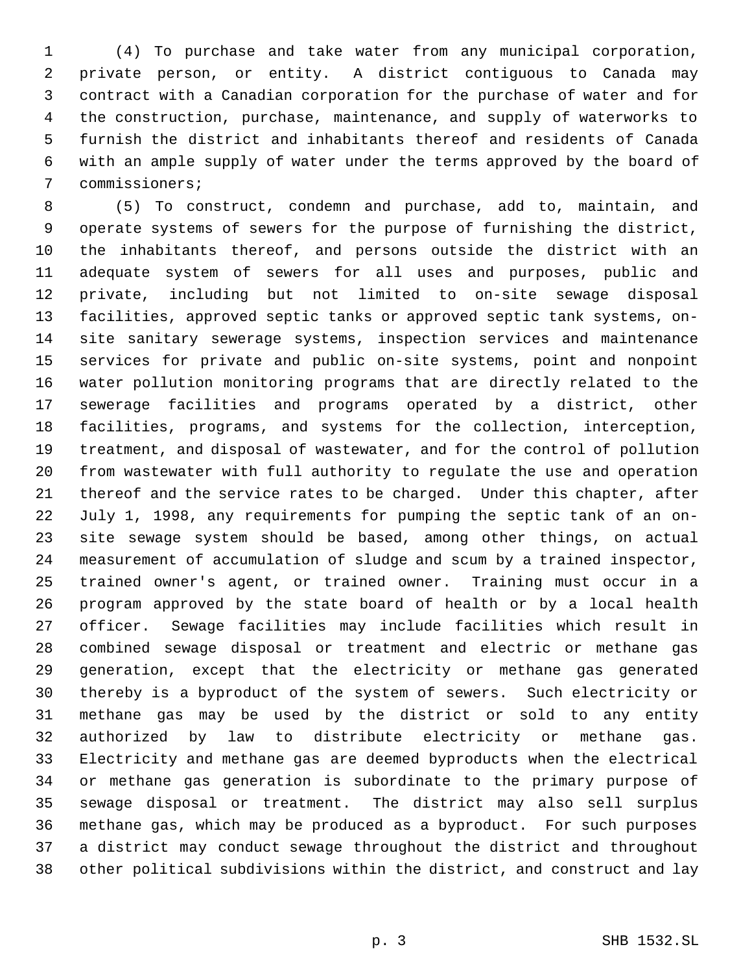(4) To purchase and take water from any municipal corporation, private person, or entity. A district contiguous to Canada may contract with a Canadian corporation for the purchase of water and for the construction, purchase, maintenance, and supply of waterworks to furnish the district and inhabitants thereof and residents of Canada with an ample supply of water under the terms approved by the board of commissioners;

 (5) To construct, condemn and purchase, add to, maintain, and operate systems of sewers for the purpose of furnishing the district, the inhabitants thereof, and persons outside the district with an adequate system of sewers for all uses and purposes, public and private, including but not limited to on-site sewage disposal facilities, approved septic tanks or approved septic tank systems, on- site sanitary sewerage systems, inspection services and maintenance services for private and public on-site systems, point and nonpoint water pollution monitoring programs that are directly related to the sewerage facilities and programs operated by a district, other facilities, programs, and systems for the collection, interception, treatment, and disposal of wastewater, and for the control of pollution from wastewater with full authority to regulate the use and operation thereof and the service rates to be charged. Under this chapter, after July 1, 1998, any requirements for pumping the septic tank of an on- site sewage system should be based, among other things, on actual measurement of accumulation of sludge and scum by a trained inspector, trained owner's agent, or trained owner. Training must occur in a program approved by the state board of health or by a local health officer. Sewage facilities may include facilities which result in combined sewage disposal or treatment and electric or methane gas generation, except that the electricity or methane gas generated thereby is a byproduct of the system of sewers. Such electricity or methane gas may be used by the district or sold to any entity authorized by law to distribute electricity or methane gas. Electricity and methane gas are deemed byproducts when the electrical or methane gas generation is subordinate to the primary purpose of sewage disposal or treatment. The district may also sell surplus methane gas, which may be produced as a byproduct. For such purposes a district may conduct sewage throughout the district and throughout other political subdivisions within the district, and construct and lay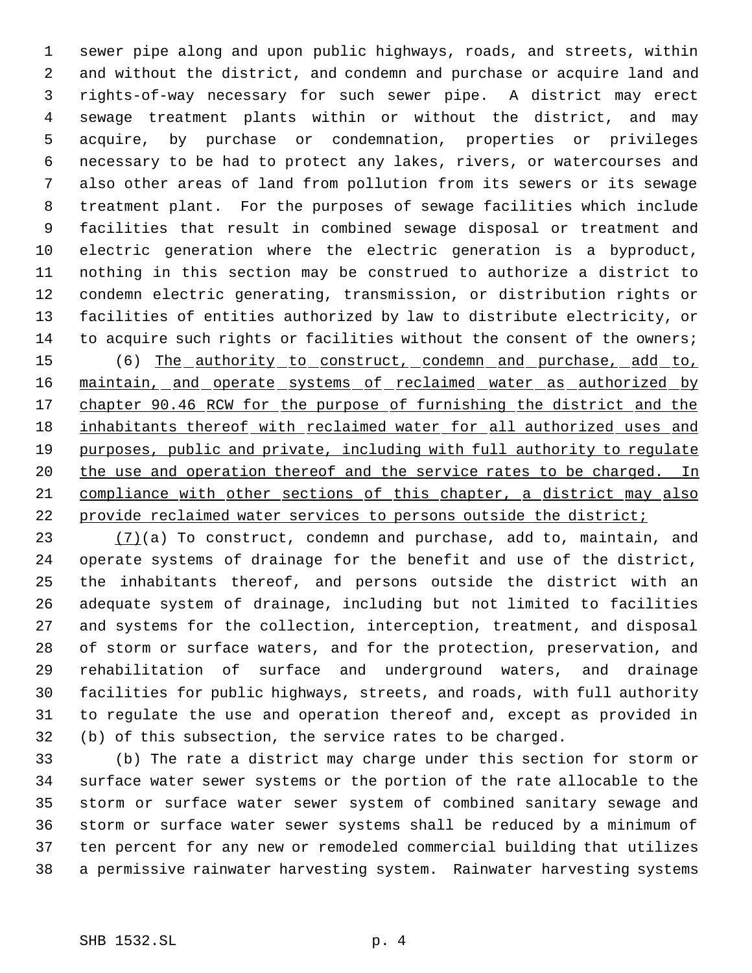sewer pipe along and upon public highways, roads, and streets, within and without the district, and condemn and purchase or acquire land and rights-of-way necessary for such sewer pipe. A district may erect sewage treatment plants within or without the district, and may acquire, by purchase or condemnation, properties or privileges necessary to be had to protect any lakes, rivers, or watercourses and also other areas of land from pollution from its sewers or its sewage treatment plant. For the purposes of sewage facilities which include facilities that result in combined sewage disposal or treatment and electric generation where the electric generation is a byproduct, nothing in this section may be construed to authorize a district to condemn electric generating, transmission, or distribution rights or facilities of entities authorized by law to distribute electricity, or 14 to acquire such rights or facilities without the consent of the owners; (6) The authority to construct, condemn and purchase, add to, 16 maintain, and operate systems of reclaimed water as authorized by 17 chapter 90.46 RCW for the purpose of furnishing the district and the 18 inhabitants thereof with reclaimed water for all authorized uses and 19 purposes, public and private, including with full authority to regulate 20 the use and operation thereof and the service rates to be charged. In compliance with other sections of this chapter, a district may also

 $(7)(a)$  To construct, condemn and purchase, add to, maintain, and operate systems of drainage for the benefit and use of the district, the inhabitants thereof, and persons outside the district with an adequate system of drainage, including but not limited to facilities and systems for the collection, interception, treatment, and disposal of storm or surface waters, and for the protection, preservation, and rehabilitation of surface and underground waters, and drainage facilities for public highways, streets, and roads, with full authority to regulate the use and operation thereof and, except as provided in (b) of this subsection, the service rates to be charged.

22 provide reclaimed water services to persons outside the district;

 (b) The rate a district may charge under this section for storm or surface water sewer systems or the portion of the rate allocable to the storm or surface water sewer system of combined sanitary sewage and storm or surface water sewer systems shall be reduced by a minimum of ten percent for any new or remodeled commercial building that utilizes a permissive rainwater harvesting system. Rainwater harvesting systems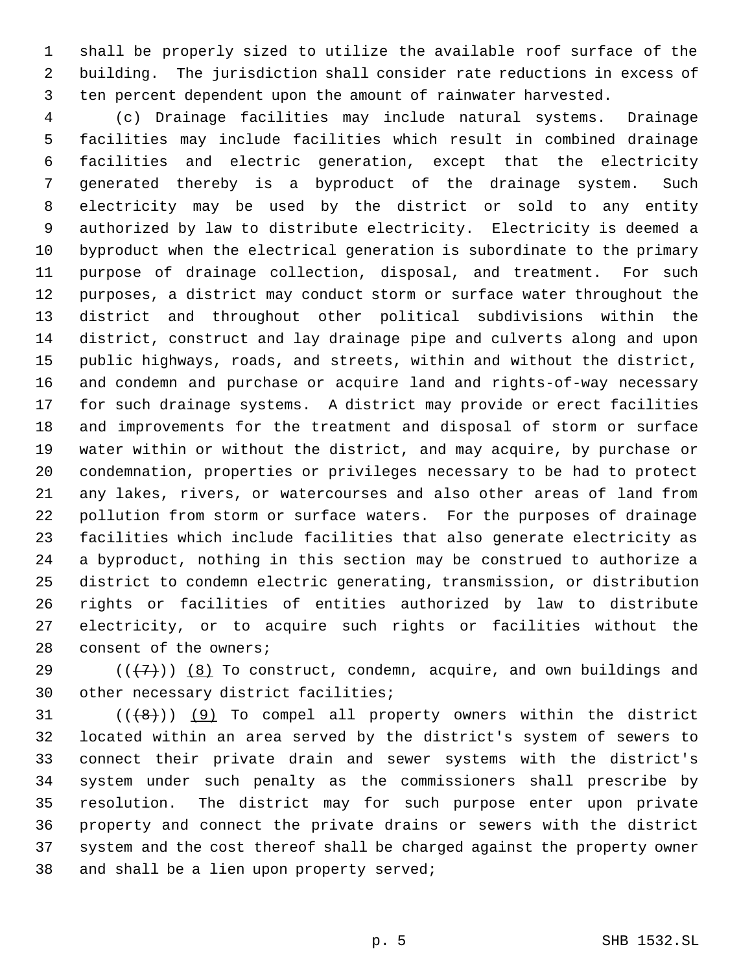shall be properly sized to utilize the available roof surface of the building. The jurisdiction shall consider rate reductions in excess of ten percent dependent upon the amount of rainwater harvested.

 (c) Drainage facilities may include natural systems. Drainage facilities may include facilities which result in combined drainage facilities and electric generation, except that the electricity generated thereby is a byproduct of the drainage system. Such electricity may be used by the district or sold to any entity authorized by law to distribute electricity. Electricity is deemed a byproduct when the electrical generation is subordinate to the primary purpose of drainage collection, disposal, and treatment. For such purposes, a district may conduct storm or surface water throughout the district and throughout other political subdivisions within the district, construct and lay drainage pipe and culverts along and upon public highways, roads, and streets, within and without the district, and condemn and purchase or acquire land and rights-of-way necessary for such drainage systems. A district may provide or erect facilities and improvements for the treatment and disposal of storm or surface water within or without the district, and may acquire, by purchase or condemnation, properties or privileges necessary to be had to protect any lakes, rivers, or watercourses and also other areas of land from pollution from storm or surface waters. For the purposes of drainage facilities which include facilities that also generate electricity as a byproduct, nothing in this section may be construed to authorize a district to condemn electric generating, transmission, or distribution rights or facilities of entities authorized by law to distribute electricity, or to acquire such rights or facilities without the consent of the owners;

29 ( $(47)$ ) (8) To construct, condemn, acquire, and own buildings and other necessary district facilities;

 $((\{8\})$  (9) To compel all property owners within the district located within an area served by the district's system of sewers to connect their private drain and sewer systems with the district's system under such penalty as the commissioners shall prescribe by resolution. The district may for such purpose enter upon private property and connect the private drains or sewers with the district system and the cost thereof shall be charged against the property owner and shall be a lien upon property served;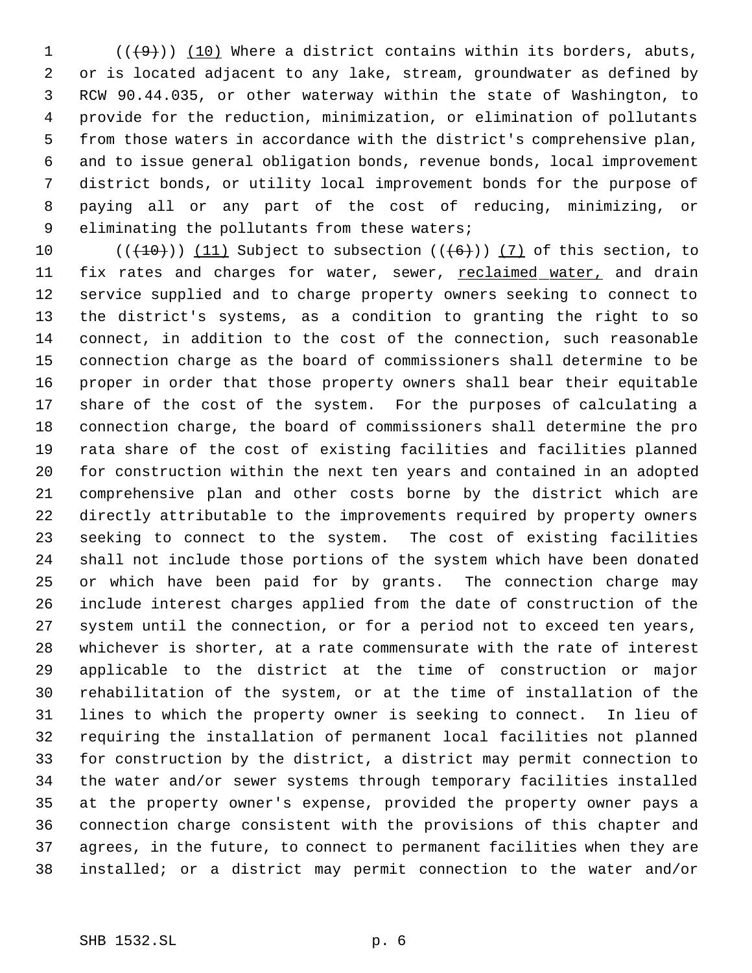(( $(9+)$ )) (10) Where a district contains within its borders, abuts, or is located adjacent to any lake, stream, groundwater as defined by RCW 90.44.035, or other waterway within the state of Washington, to provide for the reduction, minimization, or elimination of pollutants from those waters in accordance with the district's comprehensive plan, and to issue general obligation bonds, revenue bonds, local improvement district bonds, or utility local improvement bonds for the purpose of paying all or any part of the cost of reducing, minimizing, or eliminating the pollutants from these waters;

 $((+10))$   $(11)$  Subject to subsection  $((+6))$   $(7)$  of this section, to 11 fix rates and charges for water, sewer, reclaimed water, and drain service supplied and to charge property owners seeking to connect to the district's systems, as a condition to granting the right to so connect, in addition to the cost of the connection, such reasonable connection charge as the board of commissioners shall determine to be proper in order that those property owners shall bear their equitable share of the cost of the system. For the purposes of calculating a connection charge, the board of commissioners shall determine the pro rata share of the cost of existing facilities and facilities planned for construction within the next ten years and contained in an adopted comprehensive plan and other costs borne by the district which are directly attributable to the improvements required by property owners seeking to connect to the system. The cost of existing facilities shall not include those portions of the system which have been donated or which have been paid for by grants. The connection charge may include interest charges applied from the date of construction of the system until the connection, or for a period not to exceed ten years, whichever is shorter, at a rate commensurate with the rate of interest applicable to the district at the time of construction or major rehabilitation of the system, or at the time of installation of the lines to which the property owner is seeking to connect. In lieu of requiring the installation of permanent local facilities not planned for construction by the district, a district may permit connection to the water and/or sewer systems through temporary facilities installed at the property owner's expense, provided the property owner pays a connection charge consistent with the provisions of this chapter and agrees, in the future, to connect to permanent facilities when they are installed; or a district may permit connection to the water and/or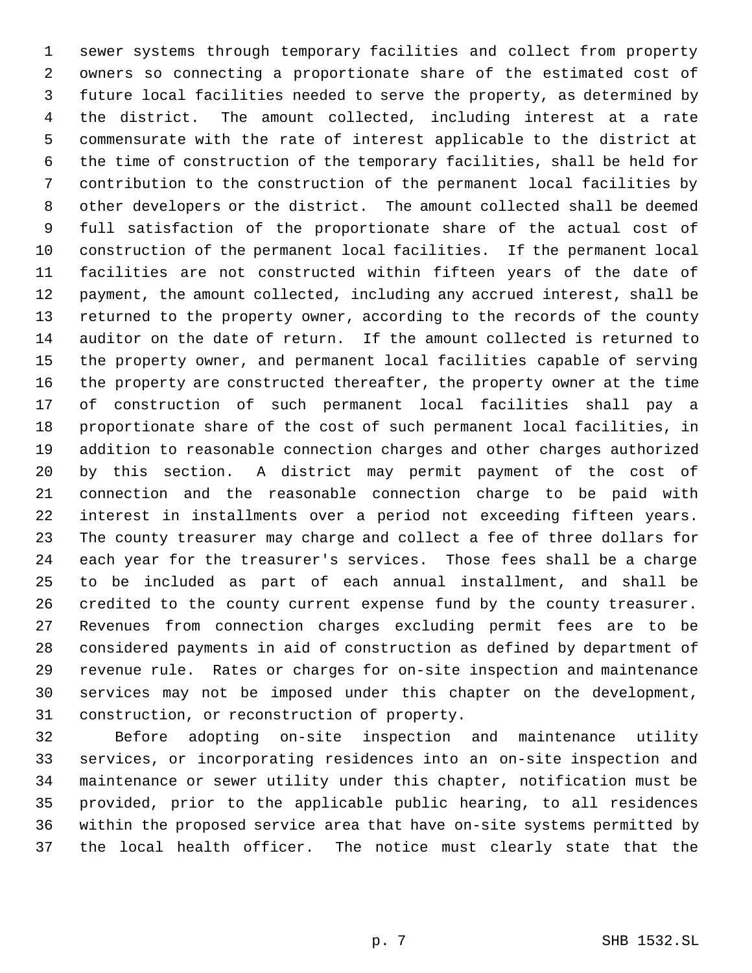sewer systems through temporary facilities and collect from property owners so connecting a proportionate share of the estimated cost of future local facilities needed to serve the property, as determined by the district. The amount collected, including interest at a rate commensurate with the rate of interest applicable to the district at the time of construction of the temporary facilities, shall be held for contribution to the construction of the permanent local facilities by other developers or the district. The amount collected shall be deemed full satisfaction of the proportionate share of the actual cost of construction of the permanent local facilities. If the permanent local facilities are not constructed within fifteen years of the date of payment, the amount collected, including any accrued interest, shall be returned to the property owner, according to the records of the county auditor on the date of return. If the amount collected is returned to the property owner, and permanent local facilities capable of serving the property are constructed thereafter, the property owner at the time of construction of such permanent local facilities shall pay a proportionate share of the cost of such permanent local facilities, in addition to reasonable connection charges and other charges authorized by this section. A district may permit payment of the cost of connection and the reasonable connection charge to be paid with interest in installments over a period not exceeding fifteen years. The county treasurer may charge and collect a fee of three dollars for each year for the treasurer's services. Those fees shall be a charge to be included as part of each annual installment, and shall be credited to the county current expense fund by the county treasurer. Revenues from connection charges excluding permit fees are to be considered payments in aid of construction as defined by department of revenue rule. Rates or charges for on-site inspection and maintenance services may not be imposed under this chapter on the development, construction, or reconstruction of property.

 Before adopting on-site inspection and maintenance utility services, or incorporating residences into an on-site inspection and maintenance or sewer utility under this chapter, notification must be provided, prior to the applicable public hearing, to all residences within the proposed service area that have on-site systems permitted by the local health officer. The notice must clearly state that the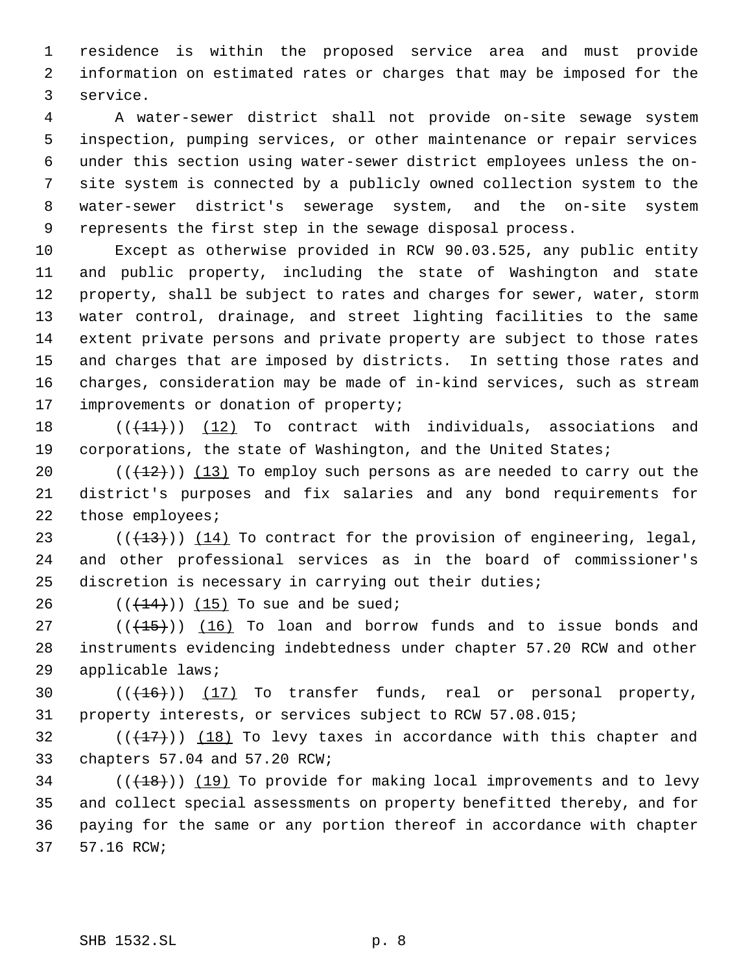residence is within the proposed service area and must provide information on estimated rates or charges that may be imposed for the service.

 A water-sewer district shall not provide on-site sewage system inspection, pumping services, or other maintenance or repair services under this section using water-sewer district employees unless the on- site system is connected by a publicly owned collection system to the water-sewer district's sewerage system, and the on-site system represents the first step in the sewage disposal process.

 Except as otherwise provided in RCW 90.03.525, any public entity and public property, including the state of Washington and state property, shall be subject to rates and charges for sewer, water, storm water control, drainage, and street lighting facilities to the same extent private persons and private property are subject to those rates and charges that are imposed by districts. In setting those rates and charges, consideration may be made of in-kind services, such as stream 17 improvements or donation of property;

18  $((+11))$   $(12)$  To contract with individuals, associations and corporations, the state of Washington, and the United States;

 $((+12))$   $(13)$  To employ such persons as are needed to carry out the district's purposes and fix salaries and any bond requirements for 22 those employees;

23  $((+13))$   $(14)$  To contract for the provision of engineering, legal, and other professional services as in the board of commissioner's discretion is necessary in carrying out their duties;

26  $((+14))$  (15) To sue and be sued;

 ( $(\overline{+15})$ )  $(16)$  To loan and borrow funds and to issue bonds and instruments evidencing indebtedness under chapter 57.20 RCW and other applicable laws;

30  $((+16))$   $(17)$  To transfer funds, real or personal property, property interests, or services subject to RCW 57.08.015;

32  $((+17))$   $(18)$  To levy taxes in accordance with this chapter and chapters 57.04 and 57.20 RCW;

 (( $(18)$ )) (19) To provide for making local improvements and to levy and collect special assessments on property benefitted thereby, and for paying for the same or any portion thereof in accordance with chapter 57.16 RCW;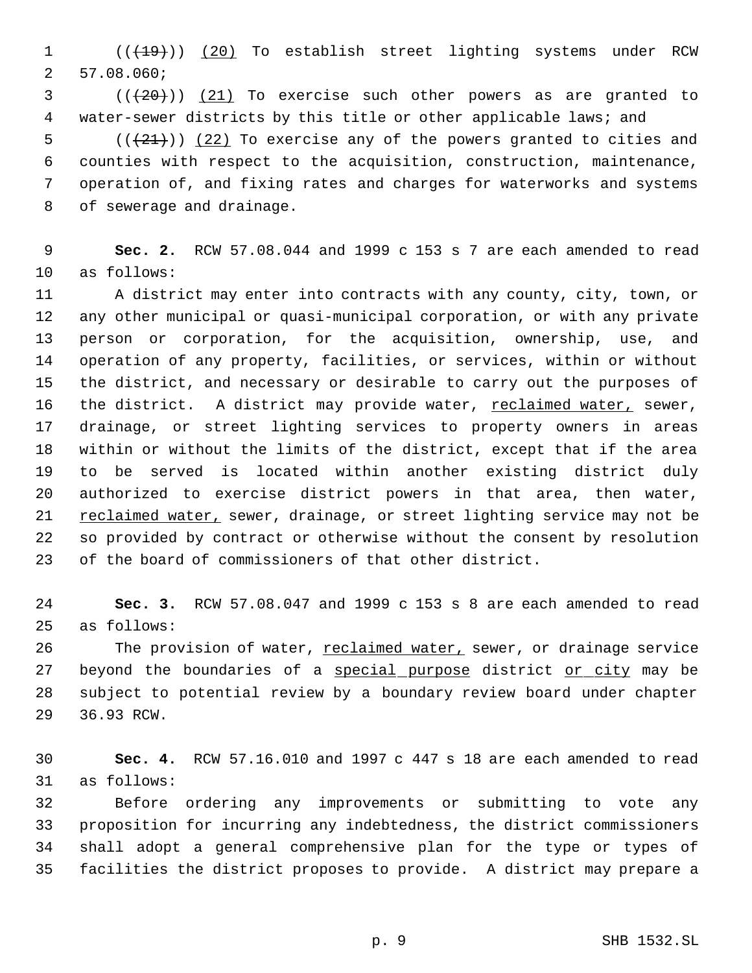1 (( $\left(\frac{(19)}{20}\right)$  (20) To establish street lighting systems under RCW 57.08.060;

 ( $(\frac{120}{1})$   $(21)$  To exercise such other powers as are granted to water-sewer districts by this title or other applicable laws; and

 $((21))$   $(22)$  To exercise any of the powers granted to cities and counties with respect to the acquisition, construction, maintenance, operation of, and fixing rates and charges for waterworks and systems of sewerage and drainage.

 **Sec. 2.** RCW 57.08.044 and 1999 c 153 s 7 are each amended to read as follows:

 A district may enter into contracts with any county, city, town, or any other municipal or quasi-municipal corporation, or with any private person or corporation, for the acquisition, ownership, use, and operation of any property, facilities, or services, within or without the district, and necessary or desirable to carry out the purposes of 16 the district. A district may provide water, reclaimed water, sewer, drainage, or street lighting services to property owners in areas within or without the limits of the district, except that if the area to be served is located within another existing district duly authorized to exercise district powers in that area, then water, 21 reclaimed water, sewer, drainage, or street lighting service may not be so provided by contract or otherwise without the consent by resolution of the board of commissioners of that other district.

 **Sec. 3.** RCW 57.08.047 and 1999 c 153 s 8 are each amended to read as follows:

26 The provision of water, reclaimed water, sewer, or drainage service 27 beyond the boundaries of a special purpose district or city may be subject to potential review by a boundary review board under chapter 36.93 RCW.

 **Sec. 4.** RCW 57.16.010 and 1997 c 447 s 18 are each amended to read as follows:

 Before ordering any improvements or submitting to vote any proposition for incurring any indebtedness, the district commissioners shall adopt a general comprehensive plan for the type or types of facilities the district proposes to provide. A district may prepare a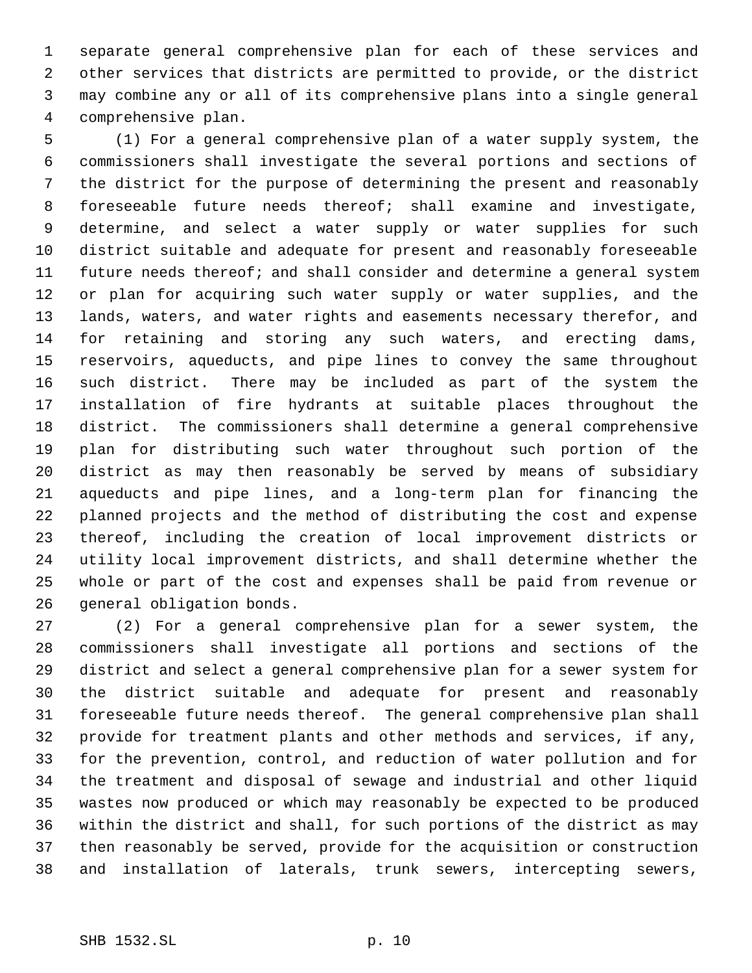separate general comprehensive plan for each of these services and other services that districts are permitted to provide, or the district may combine any or all of its comprehensive plans into a single general comprehensive plan.

 (1) For a general comprehensive plan of a water supply system, the commissioners shall investigate the several portions and sections of the district for the purpose of determining the present and reasonably foreseeable future needs thereof; shall examine and investigate, determine, and select a water supply or water supplies for such district suitable and adequate for present and reasonably foreseeable future needs thereof; and shall consider and determine a general system or plan for acquiring such water supply or water supplies, and the lands, waters, and water rights and easements necessary therefor, and for retaining and storing any such waters, and erecting dams, reservoirs, aqueducts, and pipe lines to convey the same throughout such district. There may be included as part of the system the installation of fire hydrants at suitable places throughout the district. The commissioners shall determine a general comprehensive plan for distributing such water throughout such portion of the district as may then reasonably be served by means of subsidiary aqueducts and pipe lines, and a long-term plan for financing the planned projects and the method of distributing the cost and expense thereof, including the creation of local improvement districts or utility local improvement districts, and shall determine whether the whole or part of the cost and expenses shall be paid from revenue or general obligation bonds.

 (2) For a general comprehensive plan for a sewer system, the commissioners shall investigate all portions and sections of the district and select a general comprehensive plan for a sewer system for the district suitable and adequate for present and reasonably foreseeable future needs thereof. The general comprehensive plan shall provide for treatment plants and other methods and services, if any, for the prevention, control, and reduction of water pollution and for the treatment and disposal of sewage and industrial and other liquid wastes now produced or which may reasonably be expected to be produced within the district and shall, for such portions of the district as may then reasonably be served, provide for the acquisition or construction and installation of laterals, trunk sewers, intercepting sewers,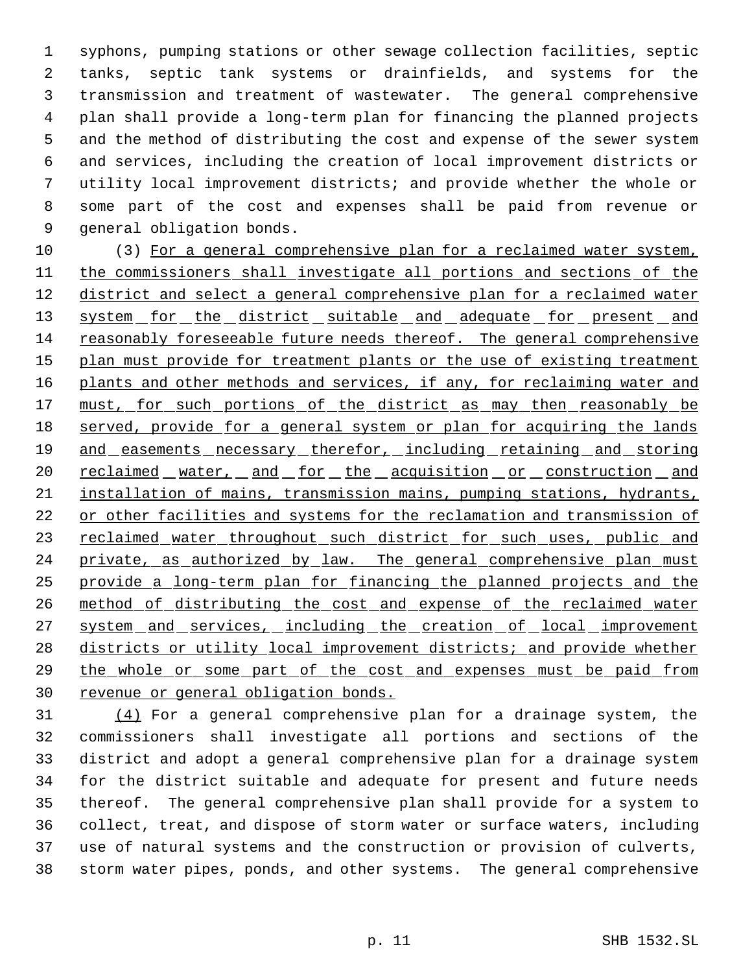syphons, pumping stations or other sewage collection facilities, septic tanks, septic tank systems or drainfields, and systems for the transmission and treatment of wastewater. The general comprehensive plan shall provide a long-term plan for financing the planned projects and the method of distributing the cost and expense of the sewer system and services, including the creation of local improvement districts or utility local improvement districts; and provide whether the whole or some part of the cost and expenses shall be paid from revenue or general obligation bonds.

 (3) For a general comprehensive plan for a reclaimed water system, the commissioners shall investigate all portions and sections of the district and select a general comprehensive plan for a reclaimed water 13 system for the district suitable and adequate for present and reasonably foreseeable future needs thereof. The general comprehensive 15 plan must provide for treatment plants or the use of existing treatment plants and other methods and services, if any, for reclaiming water and 17 must, for such portions of the district as may then reasonably be 18 served, provide for a general system or plan for acquiring the lands 19 and easements necessary therefor, including retaining and storing 20 reclaimed water, and for the acquisition or construction and installation of mains, transmission mains, pumping stations, hydrants, 22 or other facilities and systems for the reclamation and transmission of 23 reclaimed water throughout such district for such uses, public and 24 private, as authorized by law. The general comprehensive plan must provide a long-term plan for financing the planned projects and the method of distributing the cost and expense of the reclaimed water 27 system and services, including the creation of local improvement 28 districts or utility local improvement districts; and provide whether the whole or some part of the cost and expenses must be paid from revenue or general obligation bonds.

 (4) For a general comprehensive plan for a drainage system, the commissioners shall investigate all portions and sections of the district and adopt a general comprehensive plan for a drainage system for the district suitable and adequate for present and future needs thereof. The general comprehensive plan shall provide for a system to collect, treat, and dispose of storm water or surface waters, including use of natural systems and the construction or provision of culverts, storm water pipes, ponds, and other systems. The general comprehensive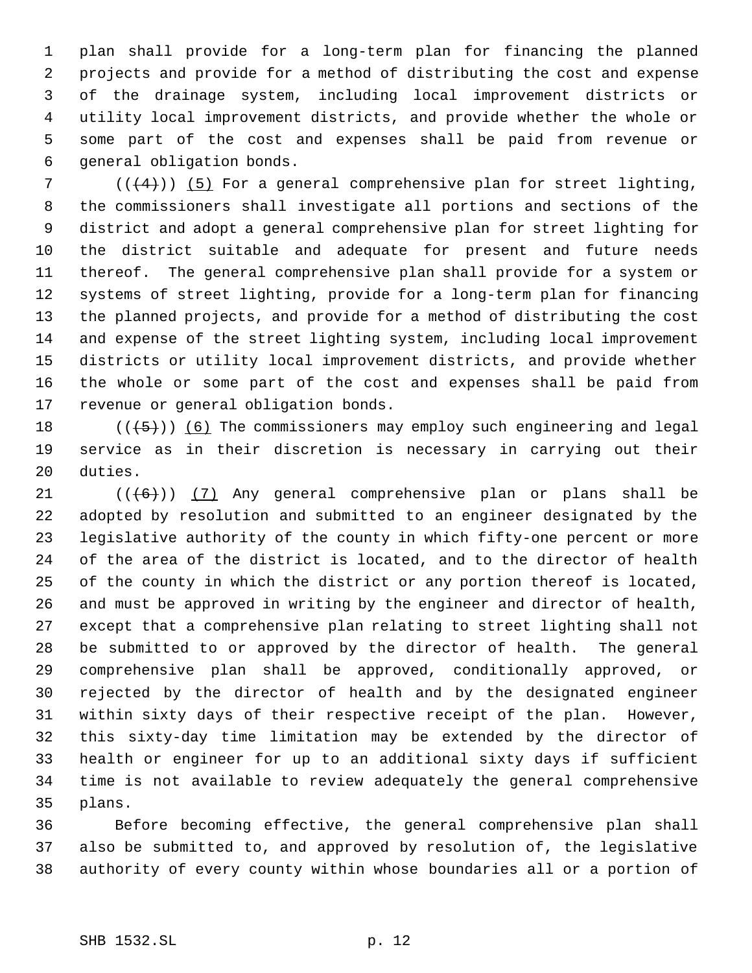plan shall provide for a long-term plan for financing the planned projects and provide for a method of distributing the cost and expense of the drainage system, including local improvement districts or utility local improvement districts, and provide whether the whole or some part of the cost and expenses shall be paid from revenue or general obligation bonds.

 $((4+))$  (5) For a general comprehensive plan for street lighting, the commissioners shall investigate all portions and sections of the district and adopt a general comprehensive plan for street lighting for the district suitable and adequate for present and future needs thereof. The general comprehensive plan shall provide for a system or systems of street lighting, provide for a long-term plan for financing the planned projects, and provide for a method of distributing the cost and expense of the street lighting system, including local improvement districts or utility local improvement districts, and provide whether the whole or some part of the cost and expenses shall be paid from revenue or general obligation bonds.

18  $((+5))$  (6) The commissioners may employ such engineering and legal service as in their discretion is necessary in carrying out their duties.

 $((\lbrace 6 \rbrace) )$  (7) Any general comprehensive plan or plans shall be adopted by resolution and submitted to an engineer designated by the legislative authority of the county in which fifty-one percent or more of the area of the district is located, and to the director of health of the county in which the district or any portion thereof is located, and must be approved in writing by the engineer and director of health, except that a comprehensive plan relating to street lighting shall not be submitted to or approved by the director of health. The general comprehensive plan shall be approved, conditionally approved, or rejected by the director of health and by the designated engineer within sixty days of their respective receipt of the plan. However, this sixty-day time limitation may be extended by the director of health or engineer for up to an additional sixty days if sufficient time is not available to review adequately the general comprehensive plans.

 Before becoming effective, the general comprehensive plan shall also be submitted to, and approved by resolution of, the legislative authority of every county within whose boundaries all or a portion of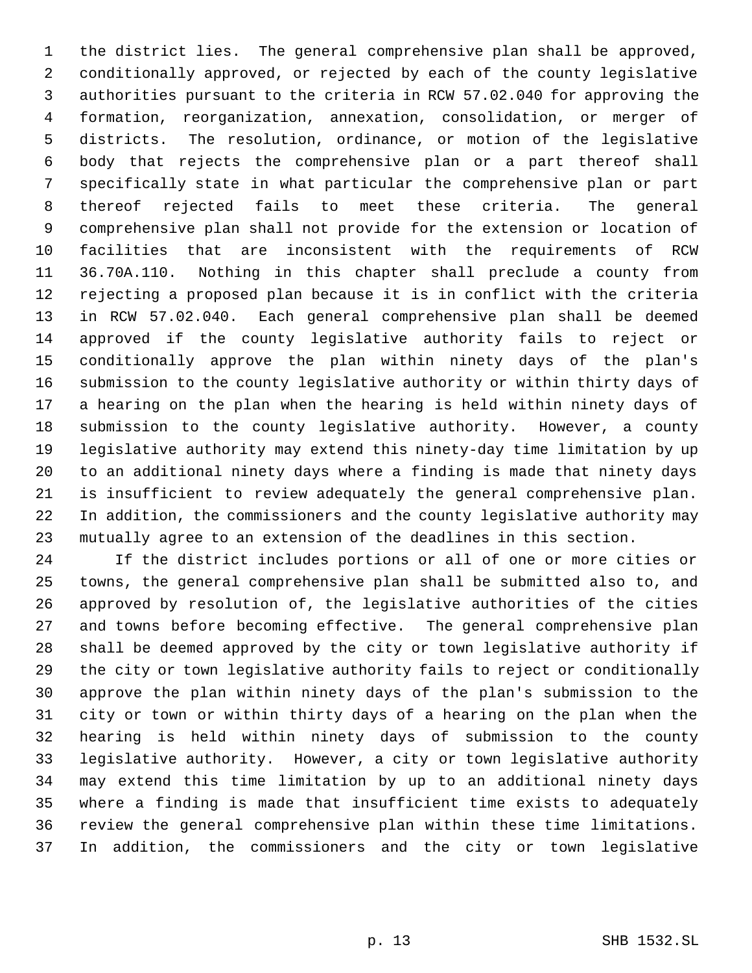the district lies. The general comprehensive plan shall be approved, conditionally approved, or rejected by each of the county legislative authorities pursuant to the criteria in RCW 57.02.040 for approving the formation, reorganization, annexation, consolidation, or merger of districts. The resolution, ordinance, or motion of the legislative body that rejects the comprehensive plan or a part thereof shall specifically state in what particular the comprehensive plan or part thereof rejected fails to meet these criteria. The general comprehensive plan shall not provide for the extension or location of facilities that are inconsistent with the requirements of RCW 36.70A.110. Nothing in this chapter shall preclude a county from rejecting a proposed plan because it is in conflict with the criteria in RCW 57.02.040. Each general comprehensive plan shall be deemed approved if the county legislative authority fails to reject or conditionally approve the plan within ninety days of the plan's submission to the county legislative authority or within thirty days of a hearing on the plan when the hearing is held within ninety days of submission to the county legislative authority. However, a county legislative authority may extend this ninety-day time limitation by up to an additional ninety days where a finding is made that ninety days is insufficient to review adequately the general comprehensive plan. In addition, the commissioners and the county legislative authority may mutually agree to an extension of the deadlines in this section.

 If the district includes portions or all of one or more cities or towns, the general comprehensive plan shall be submitted also to, and approved by resolution of, the legislative authorities of the cities and towns before becoming effective. The general comprehensive plan shall be deemed approved by the city or town legislative authority if the city or town legislative authority fails to reject or conditionally approve the plan within ninety days of the plan's submission to the city or town or within thirty days of a hearing on the plan when the hearing is held within ninety days of submission to the county legislative authority. However, a city or town legislative authority may extend this time limitation by up to an additional ninety days where a finding is made that insufficient time exists to adequately review the general comprehensive plan within these time limitations. In addition, the commissioners and the city or town legislative